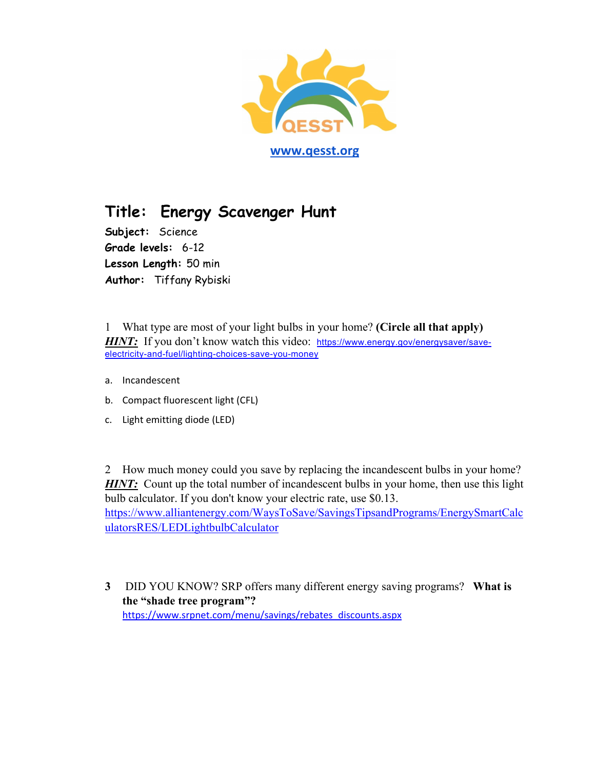

## **Title: Energy Scavenger Hunt**

**Subject:** Science **Grade levels:** 6-12 **Lesson Length:** 50 min **Author:** Tiffany Rybiski

1 What type are most of your light bulbs in your home? **(Circle all that apply) HINT:** If you don't know watch this video: https://www.energy.gov/energysaver/saveelectricity-and-fuel/lighting-choices-save-you-money

- a. Incandescent
- b. Compact fluorescent light (CFL)
- c. Light emitting diode (LED)

2 How much money could you save by replacing the incandescent bulbs in your home? **HINT:** Count up the total number of incandescent bulbs in your home, then use this light bulb calculator. If you don't know your electric rate, use \$0.13. https://www.alliantenergy.com/WaysToSave/SavingsTipsandPrograms/EnergySmartCalc ulatorsRES/LEDLightbulbCalculator

**3** DID YOU KNOW? SRP offers many different energy saving programs? **What is the "shade tree program"?**  https://www.srpnet.com/menu/savings/rebates\_discounts.aspx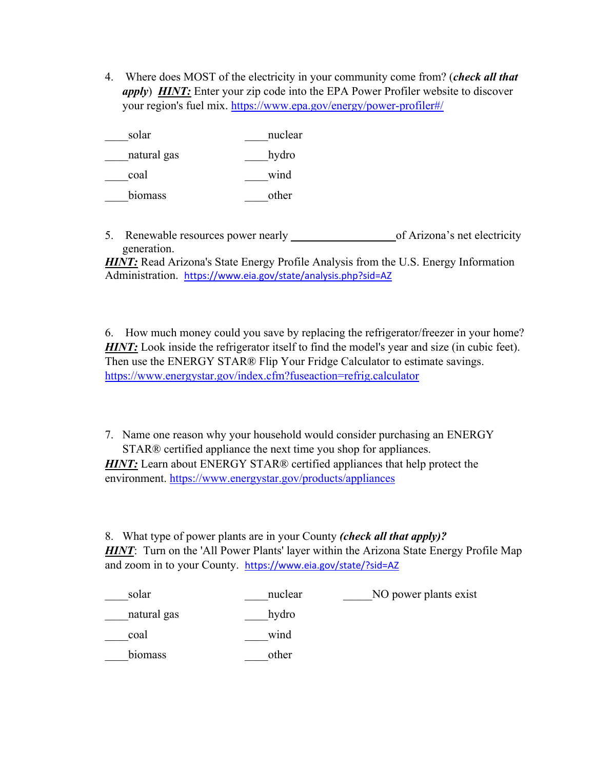4. Where does MOST of the electricity in your community come from? (*check all that apply*) *HINT:* Enter your zip code into the EPA Power Profiler website to discover your region's fuel mix. https://www.epa.gov/energy/power-profiler#/

| solar       | nuclear |
|-------------|---------|
| natural gas | hydro   |
| coal        | wind    |
| biomass     | other   |

5. Renewable resources power nearly **\_\_\_\_\_\_\_\_\_\_\_\_\_\_\_\_\_\_**of Arizona's net electricity generation.

*HINT*: Read Arizona's State Energy Profile Analysis from the U.S. Energy Information Administration. https://www.eia.gov/state/analysis.php?sid=AZ

6. How much money could you save by replacing the refrigerator/freezer in your home? **HINT:** Look inside the refrigerator itself to find the model's year and size (in cubic feet). Then use the ENERGY STAR® Flip Your Fridge Calculator to estimate savings. https://www.energystar.gov/index.cfm?fuseaction=refrig.calculator

7. Name one reason why your household would consider purchasing an ENERGY STAR® certified appliance the next time you shop for appliances.

**HINT:** Learn about ENERGY STAR® certified appliances that help protect the environment. https://www.energystar.gov/products/appliances

8. What type of power plants are in your County *(check all that apply)? HINT*: Turn on the 'All Power Plants' layer within the Arizona State Energy Profile Map and zoom in to your County. https://www.eia.gov/state/?sid=AZ

| solar       | nuclear | NO power plants exist |
|-------------|---------|-----------------------|
| natural gas | hydro   |                       |
| coal        | wind    |                       |
| biomass     | other   |                       |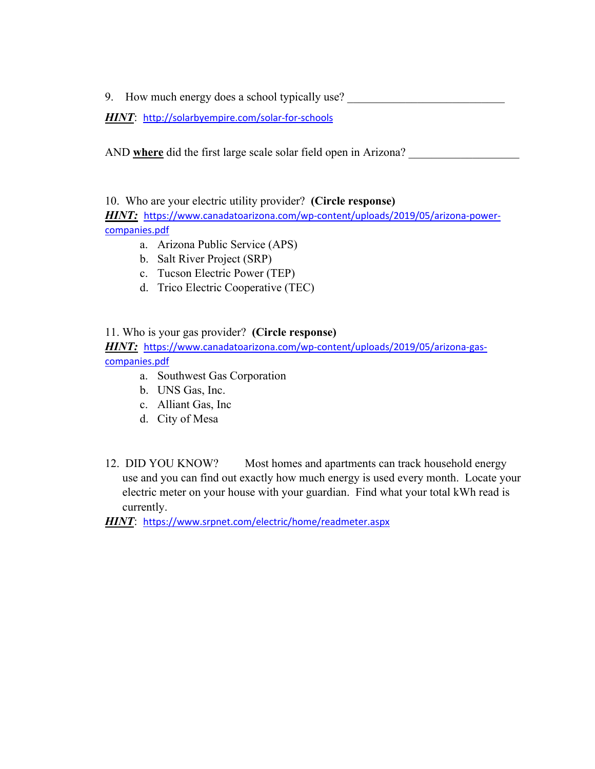9. How much energy does a school typically use?

*HINT*: http://solarbyempire.com/solar‐for‐schools

AND where did the first large scale solar field open in Arizona?

10. Who are your electric utility provider? **(Circle response)** *HINT:*https://www.canadatoarizona.com/wp‐content/uploads/2019/05/arizona‐power‐

companies.pdf

- a. Arizona Public Service (APS)
- b. Salt River Project (SRP)
- c. Tucson Electric Power (TEP)
- d. Trico Electric Cooperative (TEC)

11. Who is your gas provider? **(Circle response)** *HINT:*https://www.canadatoarizona.com/wp‐content/uploads/2019/05/arizona‐gas‐ companies.pdf

- a. Southwest Gas Corporation
- b. UNS Gas, Inc.
- c. Alliant Gas, Inc
- d. City of Mesa
- 12. DID YOU KNOW? Most homes and apartments can track household energy use and you can find out exactly how much energy is used every month. Locate your electric meter on your house with your guardian. Find what your total kWh read is currently.

*HINT*: https://www.srpnet.com/electric/home/readmeter.aspx